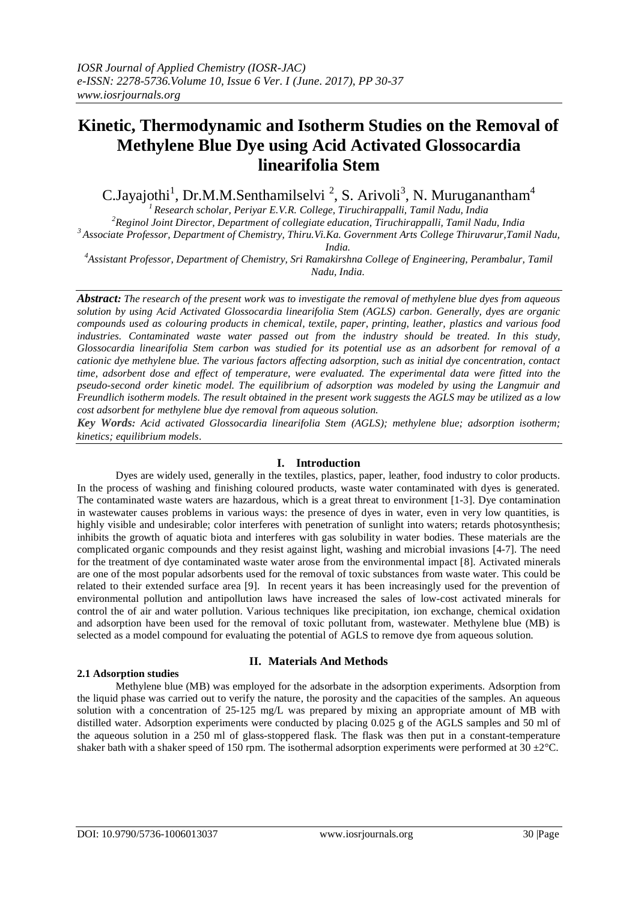# **Kinetic, Thermodynamic and Isotherm Studies on the Removal of Methylene Blue Dye using Acid Activated Glossocardia linearifolia Stem**

C.Jayajothi<sup>1</sup>, Dr.M.M.Senthamilselvi<sup>2</sup>, S. Arivoli<sup>3</sup>, N. Muruganantham<sup>4</sup>

*<sup>1</sup>Research scholar, Periyar E.V.R. College, Tiruchirappalli, Tamil Nadu, India*

*2 Reginol Joint Director, Department of collegiate education, Tiruchirappalli, Tamil Nadu, India*

*<sup>3</sup>Associate Professor, Department of Chemistry, Thiru.Vi.Ka. Government Arts College Thiruvarur,Tamil Nadu, India.*

*4 Assistant Professor, Department of Chemistry, Sri Ramakirshna College of Engineering, Perambalur, Tamil Nadu, India.*

*Abstract: The research of the present work was to investigate the removal of methylene blue dyes from aqueous solution by using Acid Activated Glossocardia linearifolia Stem (AGLS) carbon. Generally, dyes are organic compounds used as colouring products in chemical, textile, paper, printing, leather, plastics and various food industries. Contaminated waste water passed out from the industry should be treated. In this study, Glossocardia linearifolia Stem carbon was studied for its potential use as an adsorbent for removal of a cationic dye methylene blue. The various factors affecting adsorption, such as initial dye concentration, contact time, adsorbent dose and effect of temperature, were evaluated. The experimental data were fitted into the pseudo-second order kinetic model. The equilibrium of adsorption was modeled by using the Langmuir and Freundlich isotherm models. The result obtained in the present work suggests the AGLS may be utilized as a low cost adsorbent for methylene blue dye removal from aqueous solution.* 

*Key Words: Acid activated Glossocardia linearifolia Stem (AGLS); methylene blue; adsorption isotherm; kinetics; equilibrium models*.

## **I. Introduction**

Dyes are widely used, generally in the textiles, plastics, paper, leather, food industry to color products. In the process of washing and finishing coloured products, waste water contaminated with dyes is generated. The contaminated waste waters are hazardous, which is a great threat to environment [1-3]. Dye contamination in wastewater causes problems in various ways: the presence of dyes in water, even in very low quantities, is highly visible and undesirable; color interferes with penetration of sunlight into waters; retards photosynthesis; inhibits the growth of aquatic biota and interferes with gas solubility in water bodies. These materials are the complicated organic compounds and they resist against light, washing and microbial invasions [4-7]. The need for the treatment of dye contaminated waste water arose from the environmental impact [8]. Activated minerals are one of the most popular adsorbents used for the removal of toxic substances from waste water. This could be related to their extended surface area [9]. In recent years it has been increasingly used for the prevention of environmental pollution and antipollution laws have increased the sales of low-cost activated minerals for control the of air and water pollution. Various techniques like precipitation, ion exchange, chemical oxidation and adsorption have been used for the removal of toxic pollutant from, wastewater. Methylene blue (MB) is selected as a model compound for evaluating the potential of AGLS to remove dye from aqueous solution.

#### **2.1 Adsorption studies**

## **II. Materials And Methods**

Methylene blue (MB) was employed for the adsorbate in the adsorption experiments. Adsorption from the liquid phase was carried out to verify the nature, the porosity and the capacities of the samples. An aqueous solution with a concentration of 25-125 mg/L was prepared by mixing an appropriate amount of MB with distilled water. Adsorption experiments were conducted by placing 0.025 g of the AGLS samples and 50 ml of the aqueous solution in a 250 ml of glass-stoppered flask. The flask was then put in a constant-temperature shaker bath with a shaker speed of 150 rpm. The isothermal adsorption experiments were performed at  $30 \pm 2^{\circ}$ C.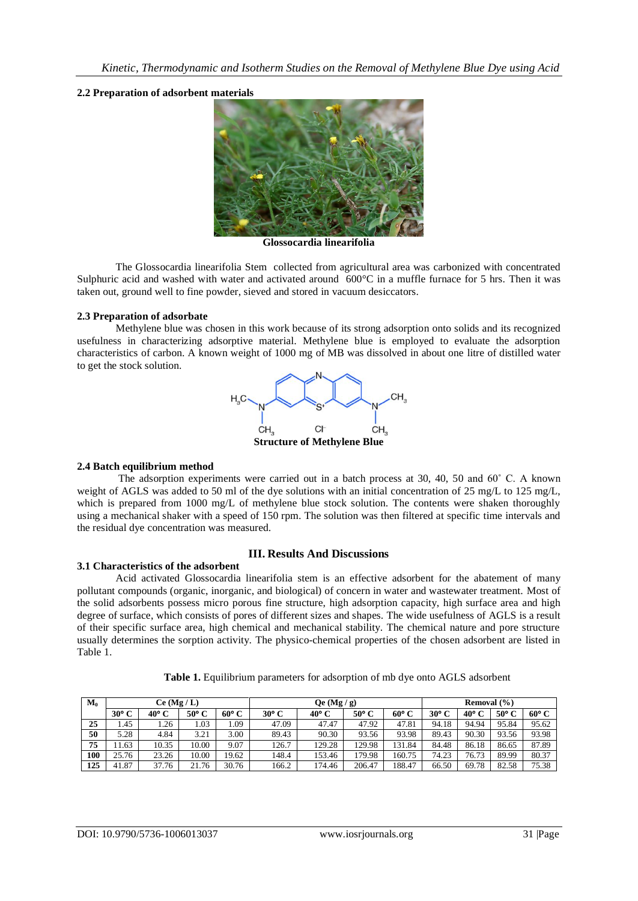#### **2.2 Preparation of adsorbent materials**



**Glossocardia linearifolia**

The Glossocardia linearifolia Stem collected from agricultural area was carbonized with concentrated Sulphuric acid and washed with water and activated around 600°C in a muffle furnace for 5 hrs. Then it was taken out, ground well to fine powder, sieved and stored in vacuum desiccators.

## **2.3 Preparation of adsorbate**

Methylene blue was chosen in this work because of its strong adsorption onto solids and its recognized usefulness in characterizing adsorptive material. Methylene blue is employed to evaluate the adsorption characteristics of carbon. A known weight of 1000 mg of MB was dissolved in about one litre of distilled water to get the stock solution.



## **2.4 Batch equilibrium method**

The adsorption experiments were carried out in a batch process at 30, 40, 50 and 60˚ C. A known weight of AGLS was added to 50 ml of the dye solutions with an initial concentration of 25 mg/L to 125 mg/L, which is prepared from 1000 mg/L of methylene blue stock solution. The contents were shaken thoroughly using a mechanical shaker with a speed of 150 rpm. The solution was then filtered at specific time intervals and the residual dye concentration was measured.

## **III. Results And Discussions**

## **3.1 Characteristics of the adsorbent**

Acid activated Glossocardia linearifolia stem is an effective adsorbent for the abatement of many pollutant compounds (organic, inorganic, and biological) of concern in water and wastewater treatment. Most of the solid adsorbents possess micro porous fine structure, high adsorption capacity, high surface area and high degree of surface, which consists of pores of different sizes and shapes. The wide usefulness of AGLS is a result of their specific surface area, high chemical and mechanical stability. The chemical nature and pore structure usually determines the sorption activity. The physico-chemical properties of the chosen adsorbent are listed in Table 1.

|  | Table 1. Equilibrium parameters for adsorption of mb dye onto AGLS adsorbent |
|--|------------------------------------------------------------------------------|
|--|------------------------------------------------------------------------------|

| $M_0$ | Ce(Mg/L)       |                |                |                | $\operatorname{Oe}\left(\operatorname{Mg}/\operatorname{g}\right)$ |        |                |                | Removal $(\% )$ |       |                |                |
|-------|----------------|----------------|----------------|----------------|--------------------------------------------------------------------|--------|----------------|----------------|-----------------|-------|----------------|----------------|
|       | $30^{\circ}$ C | $40^{\circ}$ C | $50^{\circ}$ C | $60^{\circ}$ C | $30^{\circ}$ C                                                     | 40° C  | $50^{\circ}$ C | $60^{\circ}$ C | $30^{\circ}$ C  | 40° C | $50^{\circ}$ C | $60^{\circ}$ C |
| 25    | 1.45           | .26            | 1.03           | 1.09           | 47.09                                                              | 47.47  | 47.92          | 47.81          | 94.18           | 94.94 | 95.84          | 95.62          |
| 50    | 5.28           | 4.84           | 3.21           | 3.00           | 89.43                                                              | 90.30  | 93.56          | 93.98          | 89.43           | 90.30 | 93.56          | 93.98          |
| 75    | 1.63           | 10.35          | 10.00          | 9.07           | 126.7                                                              | 129.28 | 129.98         | 131.84         | 84.48           | 86.18 | 86.65          | 87.89          |
| 100   | 25.76          | 23.26          | 10.00          | 19.62          | 148.4                                                              | 153.46 | 179.98         | 160.75         | 74.23           | 76.73 | 89.99          | 80.37          |
| 125   | 41.87          | 37.76          | 21.76          | 30.76          | 166.2                                                              | 174.46 | 206.47         | 188.47         | 66.50           | 69.78 | 82.58          | 75.38          |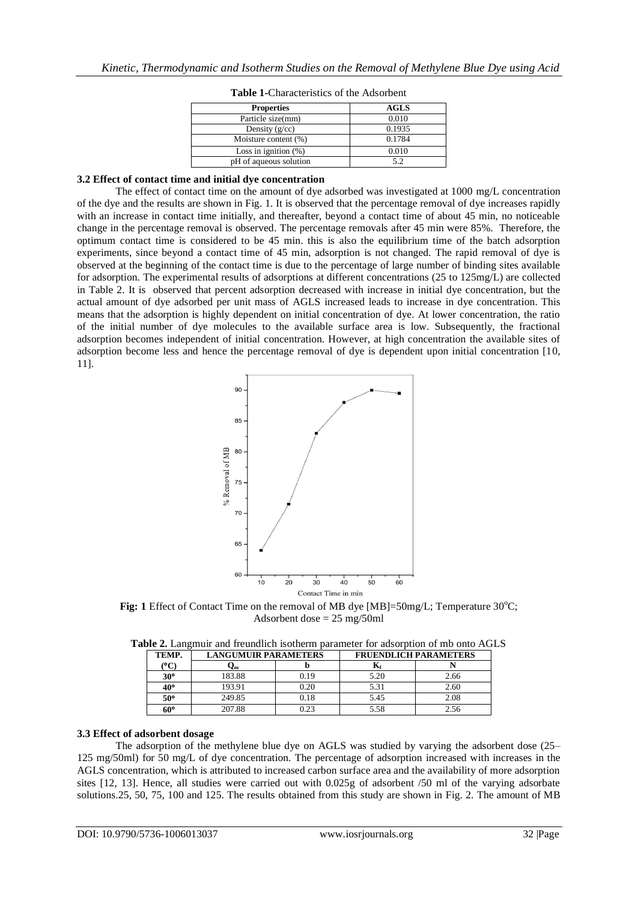| <b>Properties</b>       | <b>AGLS</b> |
|-------------------------|-------------|
| Particle size(mm)       | 0.010       |
| Density $(g/cc)$        | 0.1935      |
| Moisture content (%)    | 0.1784      |
| Loss in ignition $(\%)$ | 0.010       |
| pH of aqueous solution  |             |

**Table 1-**Characteristics of the Adsorbent

#### **3.2 Effect of contact time and initial dye concentration**

The effect of contact time on the amount of dye adsorbed was investigated at 1000 mg/L concentration of the dye and the results are shown in Fig. 1. It is observed that the percentage removal of dye increases rapidly with an increase in contact time initially, and thereafter, beyond a contact time of about 45 min, no noticeable change in the percentage removal is observed. The percentage removals after 45 min were 85%. Therefore, the optimum contact time is considered to be 45 min. this is also the equilibrium time of the batch adsorption experiments, since beyond a contact time of 45 min, adsorption is not changed. The rapid removal of dye is observed at the beginning of the contact time is due to the percentage of large number of binding sites available for adsorption. The experimental results of adsorptions at different concentrations (25 to 125mg/L) are collected in Table 2. It is observed that percent adsorption decreased with increase in initial dye concentration, but the actual amount of dye adsorbed per unit mass of AGLS increased leads to increase in dye concentration. This means that the adsorption is highly dependent on initial concentration of dye. At lower concentration, the ratio of the initial number of dye molecules to the available surface area is low. Subsequently, the fractional adsorption becomes independent of initial concentration. However, at high concentration the available sites of adsorption become less and hence the percentage removal of dye is dependent upon initial concentration [10, 11].



**Fig: 1** Effect of Contact Time on the removal of MB dye [MB]=50mg/L; Temperature  $30^{\circ}$ C; Adsorbent dose  $= 25$  mg/50ml

| $\sim$<br>TEMP. | <b>LANGUMUIR PARAMETERS</b> |      | <b>FRUENDLICH PARAMETERS</b> |      |  |
|-----------------|-----------------------------|------|------------------------------|------|--|
| (°C)            | ₹m                          |      | m                            |      |  |
| $30^\circ$      | 183.88                      | 0.19 | 5.20                         | 2.66 |  |
| 40°             | 193.91                      | 0.20 | 5.31                         | 2.60 |  |
| $50^{\circ}$    | 249.85                      |      | 5.45                         | 2.08 |  |
| $60^{\circ}$    | 207.88                      | 0.23 | 5.58                         | 2.56 |  |

**Table 2.** Langmuir and freundlich isotherm parameter for adsorption of mb onto AGLS

## **3.3 Effect of adsorbent dosage**

The adsorption of the methylene blue dye on AGLS was studied by varying the adsorbent dose (25– 125 mg/50ml) for 50 mg/L of dye concentration. The percentage of adsorption increased with increases in the AGLS concentration, which is attributed to increased carbon surface area and the availability of more adsorption sites [12, 13]. Hence, all studies were carried out with 0.025g of adsorbent /50 ml of the varying adsorbate solutions.25, 50, 75, 100 and 125. The results obtained from this study are shown in Fig. 2. The amount of MB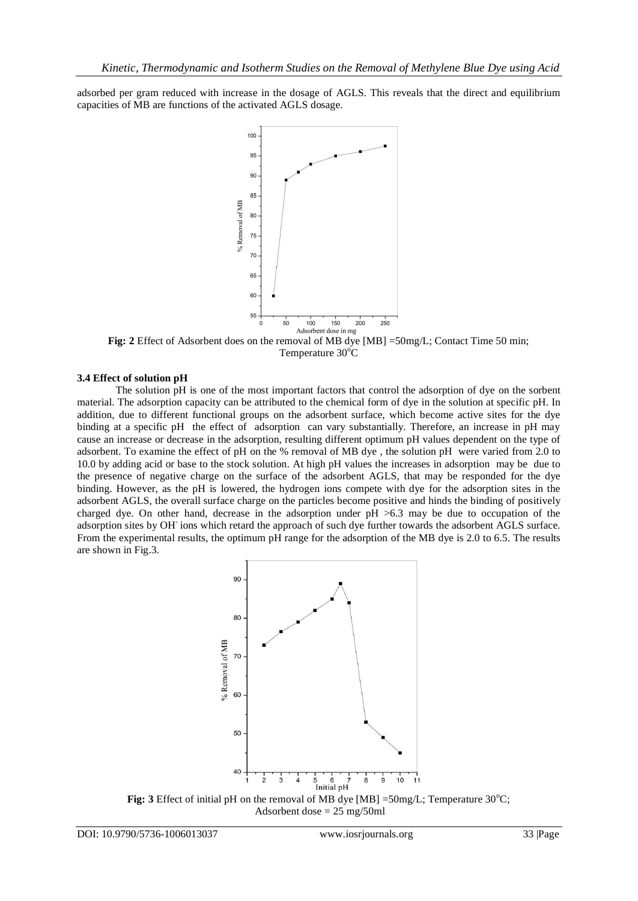adsorbed per gram reduced with increase in the dosage of AGLS. This reveals that the direct and equilibrium capacities of MB are functions of the activated AGLS dosage.



**Fig: 2** Effect of Adsorbent does on the removal of MB dye [MB] =50mg/L; Contact Time 50 min; Temperature  $30^{\circ}$ C

#### **3.4 Effect of solution pH**

The solution pH is one of the most important factors that control the adsorption of dye on the sorbent material. The adsorption capacity can be attributed to the chemical form of dye in the solution at specific pH. In addition, due to different functional groups on the adsorbent surface, which become active sites for the dye binding at a specific pH the effect of adsorption can vary substantially. Therefore, an increase in pH may cause an increase or decrease in the adsorption, resulting different optimum pH values dependent on the type of adsorbent. To examine the effect of pH on the % removal of MB dye , the solution pH were varied from 2.0 to 10.0 by adding acid or base to the stock solution. At high pH values the increases in adsorption may be due to the presence of negative charge on the surface of the adsorbent AGLS, that may be responded for the dye binding. However, as the pH is lowered, the hydrogen ions compete with dye for the adsorption sites in the adsorbent AGLS, the overall surface charge on the particles become positive and hinds the binding of positively charged dye. On other hand, decrease in the adsorption under  $pH > 6.3$  may be due to occupation of the adsorption sites by OH ions which retard the approach of such dye further towards the adsorbent AGLS surface. From the experimental results, the optimum pH range for the adsorption of the MB dye is 2.0 to 6.5. The results are shown in Fig.3.



**Fig: 3** Effect of initial pH on the removal of MB dye [MB] =50mg/L; Temperature  $30^{\circ}$ C; Adsorbent dose  $= 25$  mg/50ml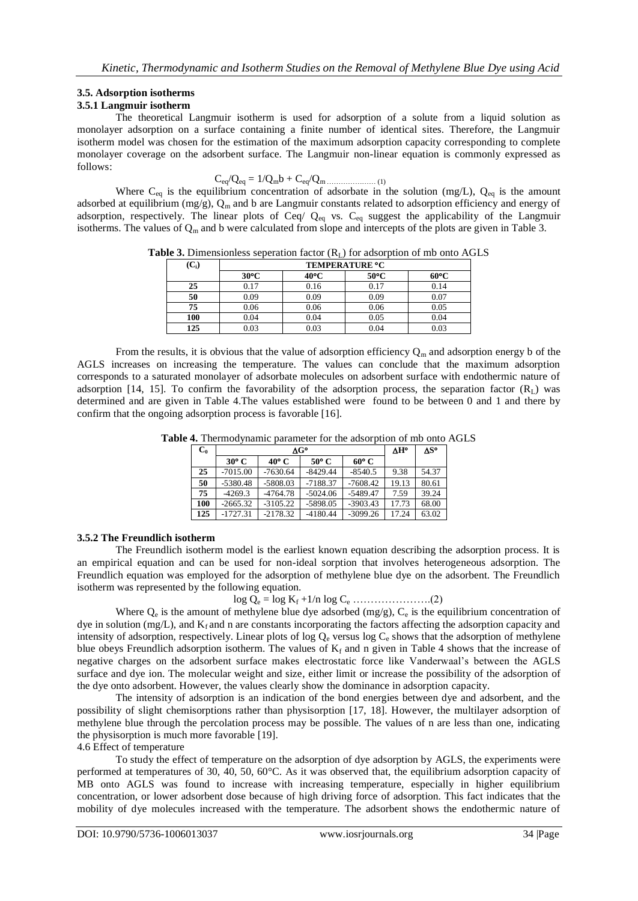## **3.5. Adsorption isotherms**

### **3.5.1 Langmuir isotherm**

The theoretical Langmuir isotherm is used for adsorption of a solute from a liquid solution as monolayer adsorption on a surface containing a finite number of identical sites. Therefore, the Langmuir isotherm model was chosen for the estimation of the maximum adsorption capacity corresponding to complete monolayer coverage on the adsorbent surface. The Langmuir non-linear equation is commonly expressed as follows:

Ceq/Qeq = 1/Qmb + Ceq/Q<sup>m</sup> ………………… (1)

Where  $C_{eq}$  is the equilibrium concentration of adsorbate in the solution (mg/L),  $Q_{eq}$  is the amount adsorbed at equilibrium (mg/g),  $Q_m$  and b are Langmuir constants related to adsorption efficiency and energy of adsorption, respectively. The linear plots of Ceq/  $Q_{eq}$  vs.  $C_{eq}$  suggest the applicability of the Langmuir isotherms. The values of  $Q_m$  and b were calculated from slope and intercepts of the plots are given in Table 3.

**Table 3.** Dimensionless seperation factor  $(R<sub>L</sub>)$  for adsorption of mb onto AGLS

| $(C_i)$ | <b>TEMPERATURE °C</b> |                |                |                |  |  |  |  |
|---------|-----------------------|----------------|----------------|----------------|--|--|--|--|
|         | $30^{\circ}$ C        | $40^{\circ}$ C | $50^{\circ}$ C | $60^{\circ}$ C |  |  |  |  |
| 25      | 0.17                  | 0.16           | 0.17           | 0.14           |  |  |  |  |
| 50      | 0.09                  | 0.09           | 0.09           | 0.07           |  |  |  |  |
| 75      | 0.06                  | 0.06           | 0.06           | 0.05           |  |  |  |  |
| 100     | 0.04                  | 0.04           | 0.05           | 0.04           |  |  |  |  |
| 125     | 0.03                  | 0.03           | 0.04           | 0.03           |  |  |  |  |

From the results, it is obvious that the value of adsorption efficiency  $Q_m$  and adsorption energy b of the AGLS increases on increasing the temperature. The values can conclude that the maximum adsorption corresponds to a saturated monolayer of adsorbate molecules on adsorbent surface with endothermic nature of adsorption [14, 15]. To confirm the favorability of the adsorption process, the separation factor  $(R<sub>L</sub>)$  was determined and are given in Table 4.The values established were found to be between 0 and 1 and there by confirm that the ongoing adsorption process is favorable [16].

| $C_{0}$ |                | $\Delta H^{\circ}$ | $\Delta S^{\circ}$ |                |       |       |
|---------|----------------|--------------------|--------------------|----------------|-------|-------|
|         | $30^{\circ}$ C | $40^{\circ}$ C     | $50^{\circ}$ C     | $60^{\circ}$ C |       |       |
| 25      | $-7015.00$     | $-7630.64$         | $-8429.44$         | $-8540.5$      | 9.38  | 54.37 |
| 50      | $-5380.48$     | $-5808.03$         | $-7188.37$         | $-7608.42$     | 19.13 | 80.61 |
| 75      | $-4269.3$      | $-4764.78$         | $-5024.06$         | $-5489.47$     | 7.59  | 39.24 |
| 100     | $-2665.32$     | $-3105.22$         | $-5898.05$         | $-3903.43$     | 17.73 | 68.00 |
| 125     | $-1727.31$     | $-2178.32$         | $-4180.44$         | $-3099.26$     | 17.24 | 63.02 |

**Table 4.** Thermodynamic parameter for the adsorption of mb onto AGLS

#### **3.5.2 The Freundlich isotherm**

The Freundlich isotherm model is the earliest known equation describing the adsorption process. It is an empirical equation and can be used for non-ideal sorption that involves heterogeneous adsorption. The Freundlich equation was employed for the adsorption of methylene blue dye on the adsorbent. The Freundlich isotherm was represented by the following equation.

log Q<sup>e</sup> = log K<sup>f</sup> +1/n log C<sup>e</sup> ………………….(2)

Where  $Q_e$  is the amount of methylene blue dye adsorbed (mg/g),  $C_e$  is the equilibrium concentration of dye in solution (mg/L), and  $K_f$  and n are constants incorporating the factors affecting the adsorption capacity and intensity of adsorption, respectively. Linear plots of log  $Q_e$  versus log  $C_e$  shows that the adsorption of methylene blue obeys Freundlich adsorption isotherm. The values of  $K_f$  and n given in Table 4 shows that the increase of negative charges on the adsorbent surface makes electrostatic force like Vanderwaal's between the AGLS surface and dye ion. The molecular weight and size, either limit or increase the possibility of the adsorption of the dye onto adsorbent. However, the values clearly show the dominance in adsorption capacity.

The intensity of adsorption is an indication of the bond energies between dye and adsorbent, and the possibility of slight chemisorptions rather than physisorption [17, 18]. However, the multilayer adsorption of methylene blue through the percolation process may be possible. The values of n are less than one, indicating the physisorption is much more favorable [19].

4.6 Effect of temperature

To study the effect of temperature on the adsorption of dye adsorption by AGLS, the experiments were performed at temperatures of 30, 40, 50, 60°C. As it was observed that, the equilibrium adsorption capacity of MB onto AGLS was found to increase with increasing temperature, especially in higher equilibrium concentration, or lower adsorbent dose because of high driving force of adsorption. This fact indicates that the mobility of dye molecules increased with the temperature. The adsorbent shows the endothermic nature of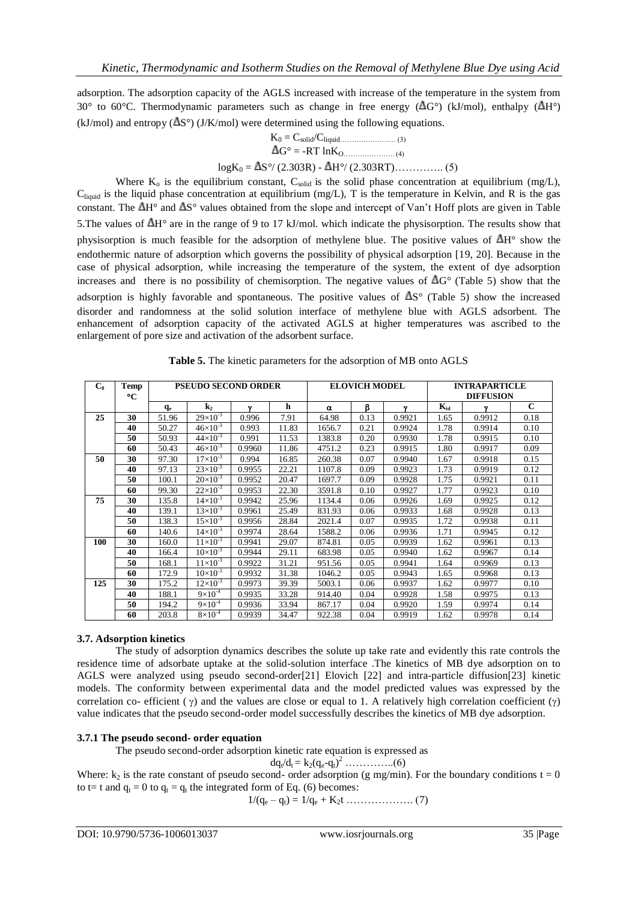adsorption. The adsorption capacity of the AGLS increased with increase of the temperature in the system from 30° to 60°C. Thermodynamic parameters such as change in free energy  $(\Delta G^{\circ})$  (kJ/mol), enthalpy  $(\Delta H^{\circ})$ (kJ/mol) and entropy ( $\Delta S^{\circ}$ ) (J/K/mol) were determined using the following equations.

$$
K_0 = C_{solid} / C_{liquid}
$$
\n
$$
\Delta G^\circ = -RT \ln K_{0}
$$
\n(3)

#### logK<sup>0</sup> = S°/ (2.303R) - H°/ (2.303RT)………….. (5)

Where  $K_0$  is the equilibrium constant,  $C_{solid}$  is the solid phase concentration at equilibrium (mg/L),  $C<sub>liquid</sub>$  is the liquid phase concentration at equilibrium (mg/L), T is the temperature in Kelvin, and R is the gas constant. The  $\Delta H^{\circ}$  and  $\Delta S^{\circ}$  values obtained from the slope and intercept of Van't Hoff plots are given in Table 5. The values of  $\Delta H^{\circ}$  are in the range of 9 to 17 kJ/mol. which indicate the physisorption. The results show that physisorption is much feasible for the adsorption of methylene blue. The positive values of  $\Delta H^{\circ}$  show the endothermic nature of adsorption which governs the possibility of physical adsorption [19, 20]. Because in the case of physical adsorption, while increasing the temperature of the system, the extent of dye adsorption increases and there is no possibility of chemisorption. The negative values of  $\Delta G^{\circ}$  (Table 5) show that the adsorption is highly favorable and spontaneous. The positive values of  $\Delta S^{\circ}$  (Table 5) show the increased disorder and randomness at the solid solution interface of methylene blue with AGLS adsorbent. The enhancement of adsorption capacity of the activated AGLS at higher temperatures was ascribed to the enlargement of pore size and activation of the adsorbent surface.

| $C_0$ | <b>Temp</b><br>$\rm ^{\circ}C$ | <b>PSEUDO SECOND ORDER</b> |                     |             |       | <b>ELOVICH MODEL</b> |      |             | <b>INTRAPARTICLE</b><br><b>DIFFUSION</b> |        |             |
|-------|--------------------------------|----------------------------|---------------------|-------------|-------|----------------------|------|-------------|------------------------------------------|--------|-------------|
|       |                                | $q_e$                      | $\mathbf{k}_2$      | $\mathbf v$ | h     | $\alpha$             | ß    | $\mathbf v$ | $K_{id}$                                 | v      | $\mathbf C$ |
| 25    | 30                             | 51.96                      | $29\times10^{-3}$   | 0.996       | 7.91  | 64.98                | 0.13 | 0.9921      | 1.65                                     | 0.9912 | 0.18        |
|       | 40                             | 50.27                      | $46 \times 10^{-3}$ | 0.993       | 11.83 | 1656.7               | 0.21 | 0.9924      | 1.78                                     | 0.9914 | 0.10        |
|       | 50                             | 50.93                      | $44 \times 10^{-3}$ | 0.991       | 11.53 | 1383.8               | 0.20 | 0.9930      | 1.78                                     | 0.9915 | 0.10        |
|       | 60                             | 50.43                      | $46\times10^{-3}$   | 0.9960      | 11.86 | 4751.2               | 0.23 | 0.9915      | 1.80                                     | 0.9917 | 0.09        |
| 50    | 30                             | 97.30                      | $17\times10^{-3}$   | 0.994       | 16.85 | 260.38               | 0.07 | 0.9940      | 1.67                                     | 0.9918 | 0.15        |
|       | 40                             | 97.13                      | $23\times10^{-3}$   | 0.9955      | 22.21 | 1107.8               | 0.09 | 0.9923      | 1.73                                     | 0.9919 | 0.12        |
|       | 50                             | 100.1                      | $20\times10^{-3}$   | 0.9952      | 20.47 | 1697.7               | 0.09 | 0.9928      | 1.75                                     | 0.9921 | 0.11        |
|       | 60                             | 99.30                      | $22\times10^{-3}$   | 0.9953      | 22.30 | 3591.8               | 0.10 | 0.9927      | 1.77                                     | 0.9923 | 0.10        |
| 75    | 30                             | 135.8                      | $14\times10^{-3}$   | 0.9942      | 25.96 | 1134.4               | 0.06 | 0.9926      | 1.69                                     | 0.9925 | 0.12        |
|       | 40                             | 139.1                      | $13\times10^{-3}$   | 0.9961      | 25.49 | 831.93               | 0.06 | 0.9933      | 1.68                                     | 0.9928 | 0.13        |
|       | 50                             | 138.3                      | $15\times10^{-3}$   | 0.9956      | 28.84 | 2021.4               | 0.07 | 0.9935      | 1.72                                     | 0.9938 | 0.11        |
|       | 60                             | 140.6                      | $14\times10^{-3}$   | 0.9974      | 28.64 | 1588.2               | 0.06 | 0.9936      | 1.71                                     | 0.9945 | 0.12        |
| 100   | 30                             | 160.0                      | $11\times10^{-3}$   | 0.9941      | 29.07 | 874.81               | 0.05 | 0.9939      | 1.62                                     | 0.9961 | 0.13        |
|       | 40                             | 166.4                      | $10\times10^{-3}$   | 0.9944      | 29.11 | 683.98               | 0.05 | 0.9940      | 1.62                                     | 0.9967 | 0.14        |
|       | 50                             | 168.1                      | $11\times10^{-3}$   | 0.9922      | 31.21 | 951.56               | 0.05 | 0.9941      | 1.64                                     | 0.9969 | 0.13        |
|       | 60                             | 172.9                      | $10\times10^{-3}$   | 0.9932      | 31.38 | 1046.2               | 0.05 | 0.9943      | 1.65                                     | 0.9968 | 0.13        |
| 125   | 30                             | 175.2                      | $12\times10^{-3}$   | 0.9973      | 39.39 | 5003.1               | 0.06 | 0.9937      | 1.62                                     | 0.9977 | 0.10        |
|       | 40                             | 188.1                      | $9\times10^{-4}$    | 0.9935      | 33.28 | 914.40               | 0.04 | 0.9928      | 1.58                                     | 0.9975 | 0.13        |
|       | 50                             | 194.2                      | $9\times10^{-4}$    | 0.9936      | 33.94 | 867.17               | 0.04 | 0.9920      | 1.59                                     | 0.9974 | 0.14        |
|       | 60                             | 203.8                      | $8\times10^{-4}$    | 0.9939      | 34.47 | 922.38               | 0.04 | 0.9919      | 1.62                                     | 0.9978 | 0.14        |

**Table 5.** The kinetic parameters for the adsorption of MB onto AGLS

## **3.7. Adsorption kinetics**

The study of adsorption dynamics describes the solute up take rate and evidently this rate controls the residence time of adsorbate uptake at the solid-solution interface .The kinetics of MB dye adsorption on to AGLS were analyzed using pseudo second-order[21] Elovich [22] and intra-particle diffusion[23] kinetic models. The conformity between experimental data and the model predicted values was expressed by the correlation co- efficient ( $\gamma$ ) and the values are close or equal to 1. A relatively high correlation coefficient ( $\gamma$ ) value indicates that the pseudo second-order model successfully describes the kinetics of MB dye adsorption.

#### **3.7.1 The pseudo second- order equation**

The pseudo second-order adsorption kinetic rate equation is expressed as

$$
dq_t/d_t = k_2(q_e-q_t)^2 \dots \dots \dots \dots (6)
$$

Where:  $k_2$  is the rate constant of pseudo second- order adsorption (g mg/min). For the boundary conditions  $t = 0$ to t= t and  $q_t = 0$  to  $q_t = q_t$  the integrated form of Eq. (6) becomes:

1/(q<sup>e</sup> – qt) = 1/q<sup>e</sup> + K2t ………………. (7)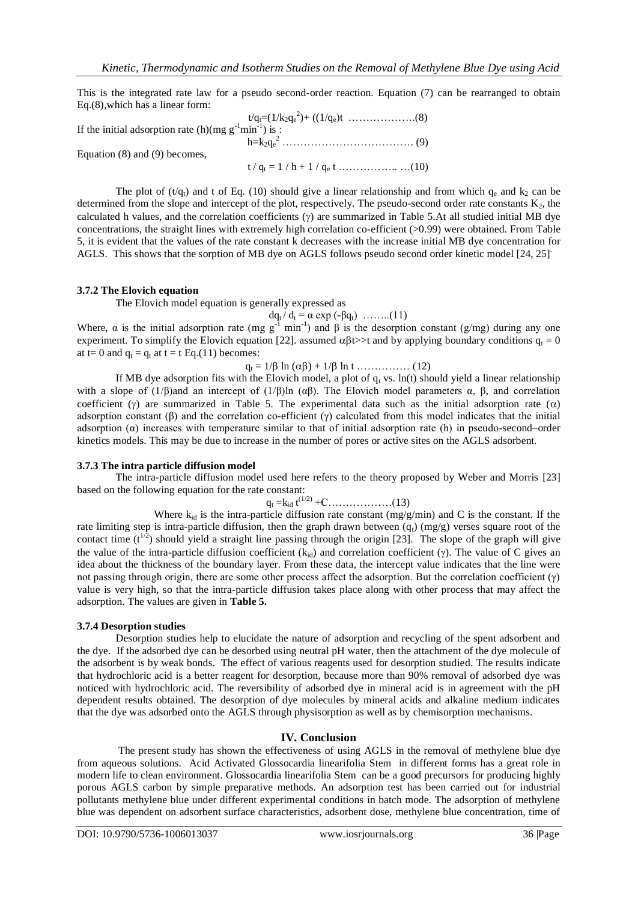This is the integrated rate law for a pseudo second-order reaction. Equation (7) can be rearranged to obtain Eq.(8),which has a linear form:

 $t/q_t=(1/k_2q_e^2)+((1/q_e)t$  ………………...(8) If the initial adsorption rate (h)(mg  $g^{-1}$ min<sup>-1</sup>) is : h=k2q<sup>e</sup> <sup>2</sup> ………………………………. (9) Equation (8) and (9) becomes,  $t / q_t = 1 / h + 1 / q_e t$  …………………...(10)

The plot of ( $t/q_t$ ) and t of Eq. (10) should give a linear relationship and from which  $q_e$  and  $k_2$  can be determined from the slope and intercept of the plot, respectively. The pseudo-second order rate constants  $K_2$ , the calculated h values, and the correlation coefficients  $(y)$  are summarized in Table 5.At all studied initial MB dye concentrations, the straight lines with extremely high correlation co-efficient (>0.99) were obtained. From Table 5, it is evident that the values of the rate constant k decreases with the increase initial MB dye concentration for AGLS. This shows that the sorption of MB dye on AGLS follows pseudo second order kinetic model [24, 25].

#### **3.7.2 The Elovich equation**

The Elovich model equation is generally expressed as

$$
dq_t/d_t = \alpha \exp(-\beta q_t) \quad \dots \dots \dots (11)
$$

Where,  $\alpha$  is the initial adsorption rate (mg g<sup>-1</sup> min<sup>-1</sup>) and  $\beta$  is the desorption constant (g/mg) during any one experiment. To simplify the Elovich equation [22]. assumed  $\alpha\beta t \gg t$  and by applying boundary conditions  $q_t = 0$ at t= 0 and  $q_t = q_t$  at t = t Eq.(11) becomes:

 $q_t = 1/\beta \ln (\alpha \beta) + 1/\beta \ln t$  …………… (12)

If MB dye adsorption fits with the Elovich model, a plot of  $q_t$  vs. ln(t) should yield a linear relationship with a slope of (1/β)and an intercept of (1/β)ln (αβ). The Elovich model parameters  $\alpha$ , β, and correlation coefficient ( $\gamma$ ) are summarized in Table 5. The experimental data such as the initial adsorption rate ( $\alpha$ ) adsorption constant (β) and the correlation co-efficient (γ) calculated from this model indicates that the initial adsorption  $(\alpha)$  increases with temperature similar to that of initial adsorption rate (h) in pseudo-second–order kinetics models. This may be due to increase in the number of pores or active sites on the AGLS adsorbent.

## **3.7.3 The intra particle diffusion model**

The intra-particle diffusion model used here refers to the theory proposed by Weber and Morris [23] based on the following equation for the rate constant:

$$
q_t = k_{id} t^{(1/2)} + C \dots \dots \dots \dots \dots (13)
$$

Where  $k_{id}$  is the intra-particle diffusion rate constant (mg/g/min) and C is the constant. If the rate limiting step is intra-particle diffusion, then the graph drawn between  $(q_t)$  (mg/g) verses square root of the contact time  $(t^{1/2})$  should yield a straight line passing through the origin [23]. The slope of the graph will give the value of the intra-particle diffusion coefficient ( $k_{id}$ ) and correlation coefficient ( $\gamma$ ). The value of C gives an idea about the thickness of the boundary layer. From these data, the intercept value indicates that the line were not passing through origin, there are some other process affect the adsorption. But the correlation coefficient (γ) value is very high, so that the intra-particle diffusion takes place along with other process that may affect the adsorption. The values are given in **Table 5.**

#### **3.7.4 Desorption studies**

Desorption studies help to elucidate the nature of adsorption and recycling of the spent adsorbent and the dye. If the adsorbed dye can be desorbed using neutral pH water, then the attachment of the dye molecule of the adsorbent is by weak bonds. The effect of various reagents used for desorption studied. The results indicate that hydrochloric acid is a better reagent for desorption, because more than 90% removal of adsorbed dye was noticed with hydrochloric acid. The reversibility of adsorbed dye in mineral acid is in agreement with the pH dependent results obtained. The desorption of dye molecules by mineral acids and alkaline medium indicates that the dye was adsorbed onto the AGLS through physisorption as well as by chemisorption mechanisms.

#### **IV. Conclusion**

The present study has shown the effectiveness of using AGLS in the removal of methylene blue dye from aqueous solutions. Acid Activated Glossocardia linearifolia Stem in different forms has a great role in modern life to clean environment. Glossocardia linearifolia Stem can be a good precursors for producing highly porous AGLS carbon by simple preparative methods. An adsorption test has been carried out for industrial pollutants methylene blue under different experimental conditions in batch mode. The adsorption of methylene blue was dependent on adsorbent surface characteristics, adsorbent dose, methylene blue concentration, time of